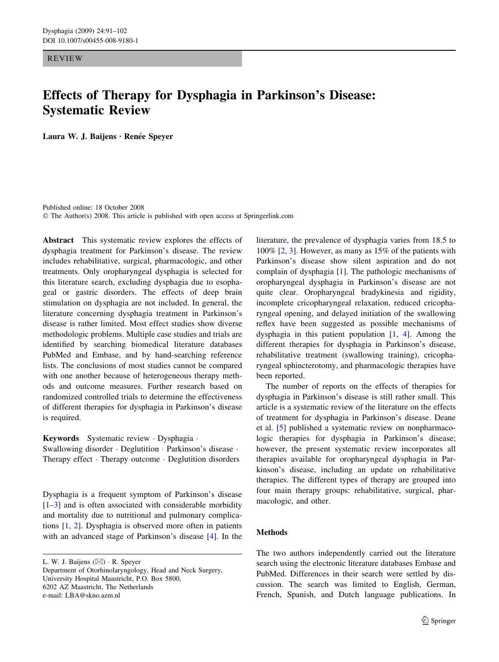REVIEW

# Effects of Therapy for Dysphagia in Parkinson's Disease: Systematic Review

Laura W. J. Baijens · Renée Speyer

Published online: 18 October 2008  $\odot$  The Author(s) 2008. This article is published with open access at Springerlink.com

Abstract This systematic review explores the effects of dysphagia treatment for Parkinson's disease. The review includes rehabilitative, surgical, pharmacologic, and other treatments. Only oropharyngeal dysphagia is selected for this literature search, excluding dysphagia due to esophageal or gastric disorders. The effects of deep brain stimulation on dysphagia are not included. In general, the literature concerning dysphagia treatment in Parkinson's disease is rather limited. Most effect studies show diverse methodologic problems. Multiple case studies and trials are identified by searching biomedical literature databases PubMed and Embase, and by hand-searching reference lists. The conclusions of most studies cannot be compared with one another because of heterogeneous therapy methods and outcome measures. Further research based on randomized controlled trials to determine the effectiveness of different therapies for dysphagia in Parkinson's disease is required.

Keywords Systematic review · Dysphagia · Swallowing disorder  $\cdot$  Deglutition  $\cdot$  Parkinson's disease  $\cdot$ Therapy effect  $\cdot$  Therapy outcome  $\cdot$  Deglutition disorders

Dysphagia is a frequent symptom of Parkinson's disease  $[1-3]$  and is often associated with considerable morbidity and mortality due to nutritional and pulmonary complications [\[1](#page-10-0), [2](#page-10-0)]. Dysphagia is observed more often in patients with an advanced stage of Parkinson's disease [\[4](#page-10-0)]. In the

L. W. J. Baijens  $(\boxtimes) \cdot$  R. Speyer

literature, the prevalence of dysphagia varies from 18.5 to 100% [\[2](#page-10-0), [3](#page-10-0)]. However, as many as 15% of the patients with Parkinson's disease show silent aspiration and do not complain of dysphagia [\[1](#page-10-0)]. The pathologic mechanisms of oropharyngeal dysphagia in Parkinson's disease are not quite clear. Oropharyngeal bradykinesia and rigidity, incomplete cricopharyngeal relaxation, reduced cricopharyngeal opening, and delayed initiation of the swallowing reflex have been suggested as possible mechanisms of dysphagia in this patient population  $[1, 4]$  $[1, 4]$  $[1, 4]$ . Among the different therapies for dysphagia in Parkinson's disease, rehabilitative treatment (swallowing training), cricopharyngeal sphincterotomy, and pharmacologic therapies have been reported.

The number of reports on the effects of therapies for dysphagia in Parkinson's disease is still rather small. This article is a systematic review of the literature on the effects of treatment for dysphagia in Parkinson's disease. Deane et al. [\[5](#page-10-0)] published a systematic review on nonpharmacologic therapies for dysphagia in Parkinson's disease; however, the present systematic review incorporates all therapies available for oropharyngeal dysphagia in Parkinson's disease, including an update on rehabilitative therapies. The different types of therapy are grouped into four main therapy groups: rehabilitative, surgical, pharmacologic, and other.

# Methods

The two authors independently carried out the literature search using the electronic literature databases Embase and PubMed. Differences in their search were settled by discussion. The search was limited to English, German, French, Spanish, and Dutch language publications. In

Department of Otorhinolaryngology, Head and Neck Surgery, University Hospital Maastricht, P.O. Box 5800, 6202 AZ Maastricht, The Netherlands e-mail: LBA@skno.azm.nl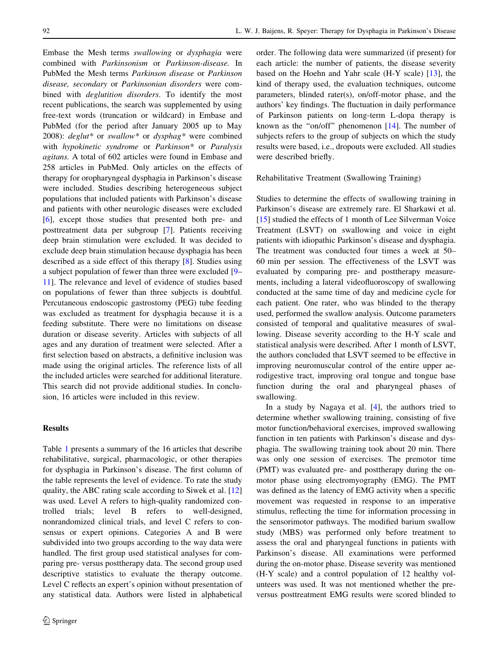Embase the Mesh terms swallowing or dysphagia were combined with Parkinsonism or Parkinson-disease. In PubMed the Mesh terms Parkinson disease or Parkinson disease, secondary or Parkinsonian disorders were combined with *deglutition disorders*. To identify the most recent publications, the search was supplemented by using free-text words (truncation or wildcard) in Embase and PubMed (for the period after January 2005 up to May 2008): deglut\* or swallow\* or dysphag\* were combined with hypokinetic syndrome or Parkinson\* or Paralysis agitans. A total of 602 articles were found in Embase and 258 articles in PubMed. Only articles on the effects of therapy for oropharyngeal dysphagia in Parkinson's disease were included. Studies describing heterogeneous subject populations that included patients with Parkinson's disease and patients with other neurologic diseases were excluded [\[6](#page-10-0)], except those studies that presented both pre- and posttreatment data per subgroup [\[7](#page-10-0)]. Patients receiving deep brain stimulation were excluded. It was decided to exclude deep brain stimulation because dysphagia has been described as a side effect of this therapy [\[8](#page-10-0)]. Studies using a subject population of fewer than three were excluded [\[9](#page-10-0)– [11](#page-10-0)]. The relevance and level of evidence of studies based on populations of fewer than three subjects is doubtful. Percutaneous endoscopic gastrostomy (PEG) tube feeding was excluded as treatment for dysphagia because it is a feeding substitute. There were no limitations on disease duration or disease severity. Articles with subjects of all ages and any duration of treatment were selected. After a first selection based on abstracts, a definitive inclusion was made using the original articles. The reference lists of all the included articles were searched for additional literature. This search did not provide additional studies. In conclusion, 16 articles were included in this review.

# **Results**

Table [1](#page-2-0) presents a summary of the 16 articles that describe rehabilitative, surgical, pharmacologic, or other therapies for dysphagia in Parkinson's disease. The first column of the table represents the level of evidence. To rate the study quality, the ABC rating scale according to Siwek et al. [[12\]](#page-10-0) was used. Level A refers to high-quality randomized controlled trials; level B refers to well-designed, nonrandomized clinical trials, and level C refers to consensus or expert opinions. Categories A and B were subdivided into two groups according to the way data were handled. The first group used statistical analyses for comparing pre- versus posttherapy data. The second group used descriptive statistics to evaluate the therapy outcome. Level C reflects an expert's opinion without presentation of any statistical data. Authors were listed in alphabetical

order. The following data were summarized (if present) for each article: the number of patients, the disease severity based on the Hoehn and Yahr scale (H-Y scale) [[13\]](#page-10-0), the kind of therapy used, the evaluation techniques, outcome parameters, blinded rater(s), on/off-motor phase, and the authors' key findings. The fluctuation in daily performance of Parkinson patients on long-term L-dopa therapy is known as the ''on/off'' phenomenon [[14\]](#page-10-0). The number of subjects refers to the group of subjects on which the study results were based, i.e., dropouts were excluded. All studies were described briefly.

Rehabilitative Treatment (Swallowing Training)

Studies to determine the effects of swallowing training in Parkinson's disease are extremely rare. El Sharkawi et al. [\[15](#page-10-0)] studied the effects of 1 month of Lee Silverman Voice Treatment (LSVT) on swallowing and voice in eight patients with idiopathic Parkinson's disease and dysphagia. The treatment was conducted four times a week at 50– 60 min per session. The effectiveness of the LSVT was evaluated by comparing pre- and posttherapy measurements, including a lateral videofluoroscopy of swallowing conducted at the same time of day and medicine cycle for each patient. One rater, who was blinded to the therapy used, performed the swallow analysis. Outcome parameters consisted of temporal and qualitative measures of swallowing. Disease severity according to the H-Y scale and statistical analysis were described. After 1 month of LSVT, the authors concluded that LSVT seemed to be effective in improving neuromuscular control of the entire upper aerodigestive tract, improving oral tongue and tongue base function during the oral and pharyngeal phases of swallowing.

In a study by Nagaya et al. [[4\]](#page-10-0), the authors tried to determine whether swallowing training, consisting of five motor function/behavioral exercises, improved swallowing function in ten patients with Parkinson's disease and dysphagia. The swallowing training took about 20 min. There was only one session of exercises. The premotor time (PMT) was evaluated pre- and posttherapy during the onmotor phase using electromyography (EMG). The PMT was defined as the latency of EMG activity when a specific movement was requested in response to an imperative stimulus, reflecting the time for information processing in the sensorimotor pathways. The modified barium swallow study (MBS) was performed only before treatment to assess the oral and pharyngeal functions in patients with Parkinson's disease. All examinations were performed during the on-motor phase. Disease severity was mentioned (H-Y scale) and a control population of 12 healthy volunteers was used. It was not mentioned whether the preversus posttreatment EMG results were scored blinded to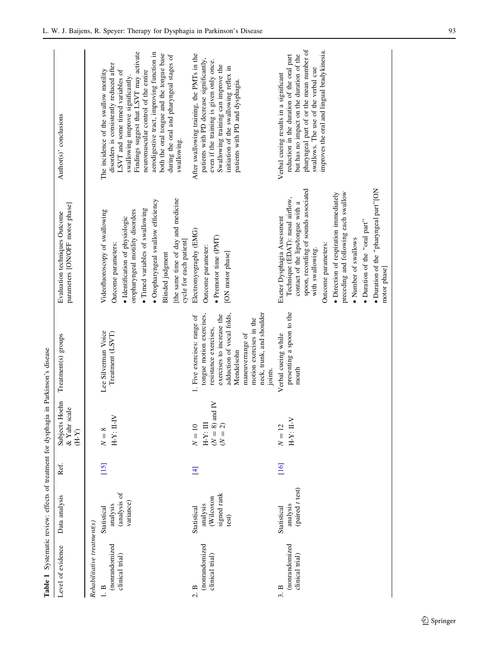<span id="page-2-0"></span>

|                                           | Table 1 Systematic review: effects of treatment for dysphagia in Parkinson's disease |                 |                                                            |                                                                                                                                                                                                                                                 |                                                                                                                                                                                                                                                                                                                                                                                                |                                                                                                                                                                                                                                                                                                                                                                                                  |
|-------------------------------------------|--------------------------------------------------------------------------------------|-----------------|------------------------------------------------------------|-------------------------------------------------------------------------------------------------------------------------------------------------------------------------------------------------------------------------------------------------|------------------------------------------------------------------------------------------------------------------------------------------------------------------------------------------------------------------------------------------------------------------------------------------------------------------------------------------------------------------------------------------------|--------------------------------------------------------------------------------------------------------------------------------------------------------------------------------------------------------------------------------------------------------------------------------------------------------------------------------------------------------------------------------------------------|
| Level of evidence                         | Data analysis                                                                        | Ref.            | Hoehn<br>scale<br>Subjects<br>$\&$ Yahr<br>$(H-Y)$         | Treatment(s) groups                                                                                                                                                                                                                             | parameters [ON/OFF motor phase]<br>Evaluation techniques Outcome                                                                                                                                                                                                                                                                                                                               | Author(s)' conclusions                                                                                                                                                                                                                                                                                                                                                                           |
| Rehabilitative treatment(s)               |                                                                                      |                 |                                                            |                                                                                                                                                                                                                                                 |                                                                                                                                                                                                                                                                                                                                                                                                |                                                                                                                                                                                                                                                                                                                                                                                                  |
| (nonrandomized<br>clinical trial)<br>1. B | (analysis of<br>variance)<br>analysis<br>Statistical                                 | $\overline{15}$ | $H - Y$ : $II - IV$<br>$N=8$                               | Lee Silverman Voice<br>Treatment (LSVT)                                                                                                                                                                                                         | [the same time of day and medicine<br>· Oropharyngeal swallow efficiency<br>· Timed variables of swallowing<br>oropharyngeal motility disorders<br>Videofluoroscopy of swallowing<br>· Identification of physiologic<br>cycle for each patient]<br>Outcome parameters:<br>Blinded judgment                                                                                                     | Findings suggest that LSVT may activate<br>aerodigestive tract, improving function in<br>both the oral tongue and the tongue base<br>during the oral and pharyngeal stages of<br>disorders is consistently reduced after<br>The incidence of the swallow motility<br>LSVT and some timed variables of<br>neuromuscular control of the entire<br>swallowing improve significantly.<br>swallowing. |
| (nonrandomized<br>clinical trial)<br>2. B | signed rank<br>(Wilcoxon<br>analysis<br>Statistical<br>test)                         | $\overline{4}$  | and IV<br>$H-Y: III$<br>$(N = 8)$<br>$(N = 2)$<br>$N = 10$ | neck, trunk, and shoulder<br>adduction of vocal folds,<br>tongue motion exercises,<br>exercises to increase the<br>1. Five exercises: range of<br>motion exercises in the<br>resistance exercises,<br>maneuverrange of<br>Mendelsohn<br>joints. | Electromyography (EMG)<br>· Premotor time (PMT)<br>Outcome parameter:<br>[ON motor phase]                                                                                                                                                                                                                                                                                                      | After swallowing training, the PMTs in the<br>patients with PD decrease significantly,<br>even if the training is given only once.<br>Swallowing training can improve the<br>initiation of the swallowing reflex in<br>patients with PD and dysphagia.                                                                                                                                           |
| (nonrandomized<br>clinical trial)<br>3. B | (paired t test)<br>analysis<br>Statistical                                           | [16]            | $H - Y$ : $II - V$<br>$N = 12$                             | presenting a spoon to the<br>Verbal cueing while<br>mouth                                                                                                                                                                                       | spoon, recording of sounds associated<br>· Duration of the "pharyngeal part" [ON<br>preceding and following each swallow<br>• Direction of respiration immediately<br>Technique (EDAT): nasal airflow,<br>contact of the lips/tongue with a<br>Exeter Dysphagia Assessment<br>• Duration of the "oral part"<br>• Number of swallows<br>Outcome parameters:<br>with swallowing.<br>motor phase] | pharyngeal part of or the mean number of<br>improves the oral and lingual bradykinesia.<br>but has no impact on the duration of the<br>reduction in the duration of the oral part<br>swallows. The use of the verbal cue<br>Verbal cueing results in a significant                                                                                                                               |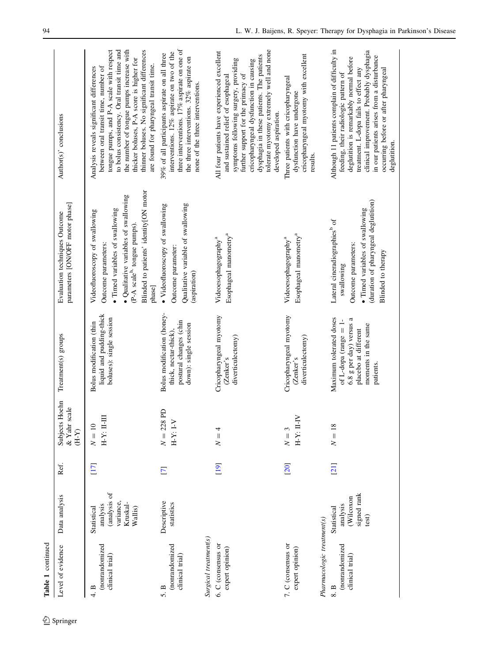| Table 1 continued                                                       |                                                                             |                |                                           |                                                                                                                                            |                                                                                                                                                                                                                                   |                                                                                                                                                                                                                                                                                                                                                              |
|-------------------------------------------------------------------------|-----------------------------------------------------------------------------|----------------|-------------------------------------------|--------------------------------------------------------------------------------------------------------------------------------------------|-----------------------------------------------------------------------------------------------------------------------------------------------------------------------------------------------------------------------------------|--------------------------------------------------------------------------------------------------------------------------------------------------------------------------------------------------------------------------------------------------------------------------------------------------------------------------------------------------------------|
| Level of evidence                                                       | Data analysis                                                               | Ref.           | Subjects Hoehn<br>& Yahr scale<br>$(H-Y)$ | Treatment(s) groups                                                                                                                        | parameters [ON/OFF motor phase]<br>Evaluation techniques Outcome                                                                                                                                                                  | Author(s)' conclusions                                                                                                                                                                                                                                                                                                                                       |
| (nonrandomized<br>clinical trial)<br>4. B                               | (analysis of<br>variance,<br>Kruskal-<br>analysis<br>Wallis)<br>Statistical | [17]           | 토<br>$N = 10$<br>$H - Y : \Pi$            | liquid and pudding-thick<br>boluses): single session<br>Bolus modification (thin                                                           | Blinded to patients' identity [ON motor<br>· Qualitative variables of swallowing<br>· Timed variables of swallowing<br>Videofluoroscopy of swallowing<br>(P-A scale <sup>h,</sup> tongue pumps).<br>Outcome parameters:<br>phase] | tongue pumps, and P-A scale with respect<br>to bolus consistency. Oral transit time and<br>the number of tongue pumps increase with<br>thinner boluses. No significant differences<br>thicker boluses, P-A score is higher for<br>are found for pharyngeal transit time.<br>between oral transit time, number of<br>Analysis reveals significant differences |
| (nonrandomized<br>clinical trial)<br>5. B                               | Descriptive<br>statistics                                                   | $\overline{7}$ | $N = 228$ PD<br>$H-Y$ : $I-V$             | Bolus modification (honey-<br>postural changes (chin<br>down): single session<br>thick, nectar-thick),                                     | · Videofluoroscopy of swallowing<br>Qualitative variable of swallowing<br>Outcome parameter:<br>(aspiration)                                                                                                                      | three interventions. 17% aspirate on one of<br>interventions. 12% aspirate on two of the<br>39% of all participants aspirate on all three<br>the three interventions. $32\%$ aspirate on<br>none of the three interventions.                                                                                                                                 |
| Surgical treatment(s)<br>6. C (consensus or<br>expert opinion)          |                                                                             | [19]           | $N = 4$                                   | Cricopharyngeal myotomy<br>diverticulectomy)<br>(Zenker's                                                                                  | Esophageal manometry <sup>a</sup><br>Videoesophagography <sup>a</sup>                                                                                                                                                             | tolerate myotomy extremely well and none<br>All four patients have experienced excellent<br>dysphagia in these patients. The patients<br>symptoms following surgery, providing<br>cricopharyngeal dysfunction in causing<br>further support for the primacy of<br>and sustained relief of esophageal<br>developed aspiration.                                |
| 7. C (consensus or<br>expert opinion)                                   |                                                                             | [20]           | Š<br>$H - Y$ : II<br>$N=3$                | Cricopharyngeal myotomy<br>diverticulectomy)<br>(Zenker's                                                                                  | Esophageal manometry <sup>a</sup><br>Videoesophagography <sup>a</sup>                                                                                                                                                             | cricopharyngeal myotomy with excellent<br>Three patients with cricopharyngeal<br>dysfunction have undergone<br>results.                                                                                                                                                                                                                                      |
| Pharmacologic treatment(s)<br>(nonrandomized<br>clinical trial)<br>8. B | signed rank<br>(Wilcoxon<br>analysis<br>Statistical<br>test)                | [21]           | $N = 18$                                  | Maximum tolerated doses<br>6.8 g per day) versus a<br>of L-dopa (range $= 1$ -<br>moments in the same<br>placebo at different<br>patients. | (duration of pharyngeal deglutition)<br>· Timed variables of swallowing<br>Lateral cineradiographies <sup>b</sup> of<br>Outcome parameters:<br>Blinded to therapy<br>swallowing                                                   | Although 11 patients complain of difficulty in<br>clinical improvement. Probably dysphagia<br>in our patients arises from a disturbance<br>deglutition is remarkably normal before<br>treatment. L-dopa fails to effect any<br>occurring before or after pharyngeal<br>feeding, their radiologic pattern of<br>deglutition.                                  |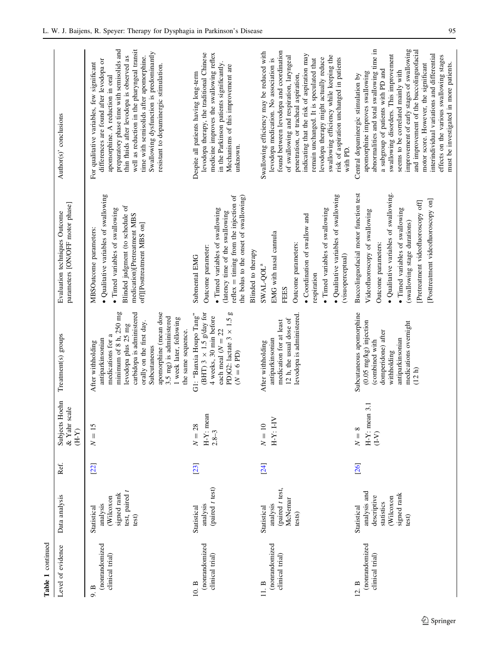| Table 1 continued                          |                                                                                               |      |                                                   |                                                                                                                                                                                                                                                                                            |                                                                                                                                                                                                                                                                                           |                                                                                                                                                                                                                                                                                                                                                                                                                                                                                                                   |
|--------------------------------------------|-----------------------------------------------------------------------------------------------|------|---------------------------------------------------|--------------------------------------------------------------------------------------------------------------------------------------------------------------------------------------------------------------------------------------------------------------------------------------------|-------------------------------------------------------------------------------------------------------------------------------------------------------------------------------------------------------------------------------------------------------------------------------------------|-------------------------------------------------------------------------------------------------------------------------------------------------------------------------------------------------------------------------------------------------------------------------------------------------------------------------------------------------------------------------------------------------------------------------------------------------------------------------------------------------------------------|
| Level of evidence                          | Data analysis                                                                                 | Ref. | Hoehn<br>scale<br>Subjects<br>$&$ Yahr<br>$(H-Y)$ | Treatment(s) groups                                                                                                                                                                                                                                                                        | parameters [ON/OFF motor phase]<br>Evaluation techniques Outcome                                                                                                                                                                                                                          | Author(s)' conclusions                                                                                                                                                                                                                                                                                                                                                                                                                                                                                            |
| (nonrandomized<br>clinical trial)<br>9. B  | test, paired t<br>signed rank<br>(Wilcoxon<br>analysis<br>Statistical<br>test)                | [22] | $= 15$<br>$\geq$                                  | minimum of 8 h, 250 mg<br>carbidopa is administered<br>apomorphine (mean dose<br>3.5 mg) is administered<br>1 week later, following<br>orally on the first day.<br>levodopa plus 25 mg<br>the same sequence.<br>medications for a<br>antiparkinsonian<br>After withholding<br>Subcutaneous | · Qualitative variables of swallowing<br>Blinded judgment (to schedule of<br>· Timed variables of swallowing<br>medication)[Pretreatment MBS<br>off][Posttreatment MBS on]<br>MBSOutcome parameters:                                                                                      | well as reduction in the pharyngeal transit<br>preparatory phase time with semisolids and<br>Swallowing dysfunction is predominantly<br>time with semisolids after apomorphine.<br>thin fluids after levodopa is observed as<br>differences are found after levodopa or<br>For qualitative variables, few significant<br>resistant to dopaminergic stimulation.<br>apomorphine. A reduction in oral                                                                                                               |
| (nonrandomized<br>clinical trial)<br>10. B | (paired t test)<br>analysis<br>Statistical                                                    | 23   | $H-Y$ : mean<br>${\cal N}=28$<br>$2.8 - 3$        | PD)G2: lactate $3 \times 1.5$ g<br>G1: "Banxia Houpo Tang"<br>(BHT) 3 $\times$ 1.5 g/day for<br>4 weeks, 30 min before<br>each meal $(N = 22$<br>$(N = 6$ PD)                                                                                                                              | reflex $=$ timing from the injection of<br>the bolus to the onset of swallowing)<br>· Timed variables of swallowing<br>(latency time of the swallowing<br>Outcome parameter:<br>Blinded to therapy<br>Submental EMG                                                                       | levodopa therapy, the traditional Chinese<br>medicine improves the swallowing reflex<br>in the Parkinson patients significantly.<br>Mechanisms of this improvement are<br>Despite all patients having long-term<br>unknown.                                                                                                                                                                                                                                                                                       |
| (nonrandomized<br>clinical trial)<br>11. B | (paired t test,<br>McNemar<br>analysis<br>Statistical<br>tests)                               | [24] | H-Y: I-IV<br>${\cal N}=10$                        | levodopa is administered.<br>12 h, the usual dose of<br>medication for at least<br>antiparkinsonian<br>After withholding                                                                                                                                                                   | · Qualitative variables of swallowing<br>• Timed variables of swallowing<br>• Coordination of swallow and<br>EMG with nasal cannula<br>Outcome parameters:<br>(visuoperceptual)<br>SWAL-QOL <sup>a</sup><br>respiration<br><b>FEES</b>                                                    | found between levodopa and coordination<br>Swallowing efficiency may be reduced with<br>indicating that the risk of aspiration may<br>of swallowing and respiration, laryngeal<br>swallowing efficiency while keeping the<br>levodopa therapy might actually reduce<br>levodopa medication. No association is<br>remain unchanged. It is speculated that<br>risk of aspiration unchanged in patients<br>penetration, or tracheal aspiration,<br>with PD.                                                          |
| (nonrandomized<br>clinical trial)<br>12. B | analysis and<br>signed rank<br>descriptive<br>(Wilcoxon<br>statistics<br>Statistical<br>test) | [26] | $H-Y$ : mean 3.1<br>${\cal N}=8$<br>$(1-N)$       | Subcutaneous apomorphine<br>$(0.05 \text{ mg/kg})$ injection<br>medications overnight<br>domperidone) after<br>antiparkinsonian<br>(combined with<br>withholding<br>(12 h)                                                                                                                 | Buccolinguofacial motor function test<br>· Qualitative variables of swallowing.<br>[Posttreatment videofluoroscopy on]<br>[Pretreatment videofluoroscopy off]<br>· Timed variables of swallowing<br>Videofluoroscopy of swallowing<br>(swallowing stage durations)<br>Outcome parameters: | improvement of early stages of swallowing<br>abnormalities and total swallowing time in<br>and improvement of the buccolinguofacial<br>interindividual variations and differential<br>swallowing disorders. This improvement<br>effects on the various swallowing stages<br>must be investigated in more patients.<br>motor score. However, the significant<br>a subgroup of patients with PD and<br>seems to be correlated mainly with<br>apomorphine improves swallowing<br>Central dopaminergic stimulation by |

 $\underline{\circledcirc}$  Springer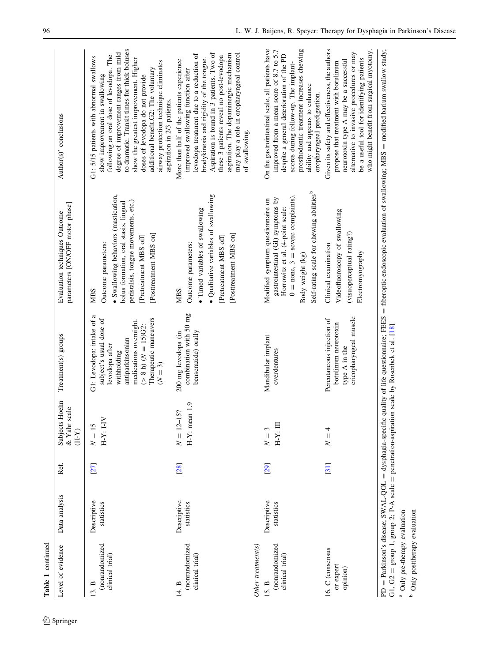| Table 1 continued                                                |                           |      |                                                |                                                                                                                                                                                                   |                                                                                                                                                                                                                                  |                                                                                                                                                                                                                                                                                                                                                                                                               |
|------------------------------------------------------------------|---------------------------|------|------------------------------------------------|---------------------------------------------------------------------------------------------------------------------------------------------------------------------------------------------------|----------------------------------------------------------------------------------------------------------------------------------------------------------------------------------------------------------------------------------|---------------------------------------------------------------------------------------------------------------------------------------------------------------------------------------------------------------------------------------------------------------------------------------------------------------------------------------------------------------------------------------------------------------|
| Level of evidence                                                | Data analysis             | Ref. | Subjects Hoehn<br>scale<br>$&$ Yahr<br>$(H-Y)$ | Treatment(s) groups                                                                                                                                                                               | parameters [ON/OFF motor phase]<br>Evaluation techniques Outcome                                                                                                                                                                 | Author(s)' conclusions                                                                                                                                                                                                                                                                                                                                                                                        |
| (nonrandomized<br>clinical trial)<br>13. B                       | Descriptive<br>statistics | [27] | $H - Y$ : $I - IV$<br>$N = 15$                 | G1: Levodopa: intake of a<br>Therapeutic maneuvers<br>subject's usual dose of<br>medications overnight.<br>$(> 8 h) (N = 15)$ G2:<br>antiparkinsonian<br>levodopa after<br>withholding<br>$(N=3)$ | · Swallowing behaviors (mastication,<br>peristalsis, tongue movements, etc.)<br>bolus formation, oral stasis, lingual<br>[Posttreatment MBS on]<br>Pretreatment MBS off]<br>Outcome parameters:<br><b>NIBS</b>                   | to dramatic. Transit times for thick boluses<br>degree of improvement ranges from mild<br>following an oral dose of levodopa. The<br>G1: 5/15 patients with abnormal swallows<br>show the greatest improvement. Higher<br>airway protection technique eliminates<br>additional benefit.G2: The voluntary<br>show improvement in swallowing<br>doses of levodopa do not provide<br>aspiration in 2/3 patients. |
| (nonrandomized<br>clinical trial)<br>14. B                       | Descriptive<br>statistics | [28] | ean 1.9<br>$N = 12 - 15?$<br>$H-Y: m$          | combination with 50 mg<br>benserazide) orally<br>200 mg levodopa (in                                                                                                                              | · Qualitative variables of swallowing<br>• Timed variables of swallowing<br>Posttreatment MBS on]<br>[Pretreatment MBS off]<br>Outcome parameters:<br><b>MBS</b>                                                                 | Aspiration is found in 3 patients. Two of<br>levodopa treatment due to a reduction of<br>aspiration. The dopaminergic mechanism<br>may play a role in oropharyngeal control<br>these 3 patients reveal no post-levodopa<br>bradykinesia and rigidity of the tongue.<br>More than half of the patients experience<br>improved swallowing function after<br>of swallowing.                                      |
| (nonrandomized<br>Other treatment(s)<br>clinical trial)<br>15. B | Descriptive<br>statistics | [29] | $H - Y : \Pi$<br>$N=3$                         | Mandibular implant<br>overdentures                                                                                                                                                                | Self-rating scale for chewing abilities <sup>b</sup><br>$0 = none$ , $3 = severe$ complaints).<br>gastrointestinal (GI) symptoms by<br>Modified symptom questionnaire on<br>Horrowitz et al. (4-point scale:<br>Body weight (kg) | On the gastrointestinal scale, all patients have<br>prosthodontic treatment increases chewing<br>improved from a mean score of 8.7 to 5.7<br>despite a general deterioration of the PD<br>scores during follow-up. The implant-<br>ability and appears to enhance<br>oropharyngeal predigestion.                                                                                                              |
| 16. C (consensus<br>or expert<br>opinion)                        |                           | [31] | $N = 4$                                        | cricopharyngeal muscle<br>Percutaneous injection of<br>botulinum neurotoxin<br>type A in the                                                                                                      | Videofluoroscopy of swallowing<br>(visuoperceptual rating?)<br>Clinical examination<br>Electromyography                                                                                                                          | Given its safety and effectiveness, the authors<br>who might benefit from surgical myotomy.<br>alternative to invasive procedures or may<br>be a useful tool for identifying patients<br>neurotoxin type A may be a successful<br>propose that treatment with botulinum                                                                                                                                       |
|                                                                  |                           |      |                                                | G1, G2 = group 1, group 2; P-A scale = penetration-aspiration scale by Rosenbek et al. [18]                                                                                                       |                                                                                                                                                                                                                                  | PD = Parkinson's disease; SWAL-QOL = dysphagia-specific quality of life questionnaire; FEES = fiberoptic endoscopic evaluation of swallowing; MBS = modified barium swallow study;                                                                                                                                                                                                                            |

 Only pre-therapy evaluation Only posttherapy evaluation

ab

 $\underline{\textcircled{\tiny 2}}$  Springer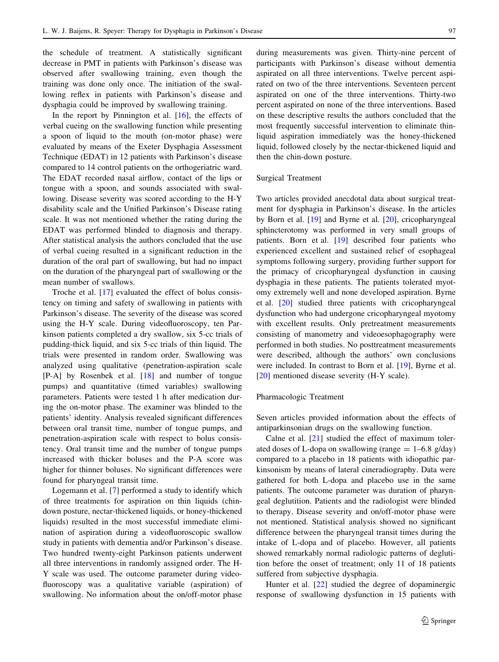the schedule of treatment. A statistically significant decrease in PMT in patients with Parkinson's disease was observed after swallowing training, even though the training was done only once. The initiation of the swallowing reflex in patients with Parkinson's disease and dysphagia could be improved by swallowing training.

In the report by Pinnington et al.  $[16]$  $[16]$ , the effects of verbal cueing on the swallowing function while presenting a spoon of liquid to the mouth (on-motor phase) were evaluated by means of the Exeter Dysphagia Assessment Technique (EDAT) in 12 patients with Parkinson's disease compared to 14 control patients on the orthogeriatric ward. The EDAT recorded nasal airflow, contact of the lips or tongue with a spoon, and sounds associated with swallowing. Disease severity was scored according to the H-Y disability scale and the Unified Parkinson's Disease rating scale. It was not mentioned whether the rating during the EDAT was performed blinded to diagnosis and therapy. After statistical analysis the authors concluded that the use of verbal cueing resulted in a significant reduction in the duration of the oral part of swallowing, but had no impact on the duration of the pharyngeal part of swallowing or the mean number of swallows.

Troche et al. [[17\]](#page-10-0) evaluated the effect of bolus consistency on timing and safety of swallowing in patients with Parkinson's disease. The severity of the disease was scored using the H-Y scale. During videofluoroscopy, ten Parkinson patients completed a dry swallow, six 5-cc trials of pudding-thick liquid, and six 5-cc trials of thin liquid. The trials were presented in random order. Swallowing was analyzed using qualitative (penetration-aspiration scale [P-A] by Rosenbek et al. [[18\]](#page-10-0) and number of tongue pumps) and quantitative (timed variables) swallowing parameters. Patients were tested 1 h after medication during the on-motor phase. The examiner was blinded to the patients' identity. Analysis revealed significant differences between oral transit time, number of tongue pumps, and penetration-aspiration scale with respect to bolus consistency. Oral transit time and the number of tongue pumps increased with thicker boluses and the P-A score was higher for thinner boluses. No significant differences were found for pharyngeal transit time.

Logemann et al. [\[7](#page-10-0)] performed a study to identify which of three treatments for aspiration on thin liquids (chindown posture, nectar-thickened liquids, or honey-thickened liquids) resulted in the most successful immediate elimination of aspiration during a videofluoroscopic swallow study in patients with dementia and/or Parkinson's disease. Two hundred twenty-eight Parkinson patients underwent all three interventions in randomly assigned order. The H-Y scale was used. The outcome parameter during videofluoroscopy was a qualitative variable (aspiration) of swallowing. No information about the on/off-motor phase during measurements was given. Thirty-nine percent of participants with Parkinson's disease without dementia aspirated on all three interventions. Twelve percent aspirated on two of the three interventions. Seventeen percent aspirated on one of the three interventions. Thirty-two percent aspirated on none of the three interventions. Based on these descriptive results the authors concluded that the most frequently successful intervention to eliminate thinliquid aspiration immediately was the honey-thickened liquid, followed closely by the nectar-thickened liquid and then the chin-down posture.

## Surgical Treatment

Two articles provided anecdotal data about surgical treatment for dysphagia in Parkinson's disease. In the articles by Born et al. [\[19](#page-10-0)] and Byrne et al. [\[20](#page-10-0)], cricopharyngeal sphincterotomy was performed in very small groups of patients. Born et al. [\[19](#page-10-0)] described four patients who experienced excellent and sustained relief of esophageal symptoms following surgery, providing further support for the primacy of cricopharyngeal dysfunction in causing dysphagia in these patients. The patients tolerated myotomy extremely well and none developed aspiration. Byrne et al. [\[20](#page-10-0)] studied three patients with cricopharyngeal dysfunction who had undergone cricopharyngeal myotomy with excellent results. Only pretreatment measurements consisting of manometry and videoesophagography were performed in both studies. No posttreatment measurements were described, although the authors' own conclusions were included. In contrast to Born et al. [\[19](#page-10-0)], Byrne et al. [\[20](#page-10-0)] mentioned disease severity (H-Y scale).

## Pharmacologic Treatment

Seven articles provided information about the effects of antiparkinsonian drugs on the swallowing function.

Calne et al. [\[21](#page-10-0)] studied the effect of maximum tolerated doses of L-dopa on swallowing (range  $= 1-6.8$  g/day) compared to a placebo in 18 patients with idiopathic parkinsonism by means of lateral cineradiography. Data were gathered for both L-dopa and placebo use in the same patients. The outcome parameter was duration of pharyngeal deglutition. Patients and the radiologist were blinded to therapy. Disease severity and on/off-motor phase were not mentioned. Statistical analysis showed no significant difference between the pharyngeal transit times during the intake of L-dopa and of placebo. However, all patients showed remarkably normal radiologic patterns of deglutition before the onset of treatment; only 11 of 18 patients suffered from subjective dysphagia.

Hunter et al. [[22\]](#page-10-0) studied the degree of dopaminergic response of swallowing dysfunction in 15 patients with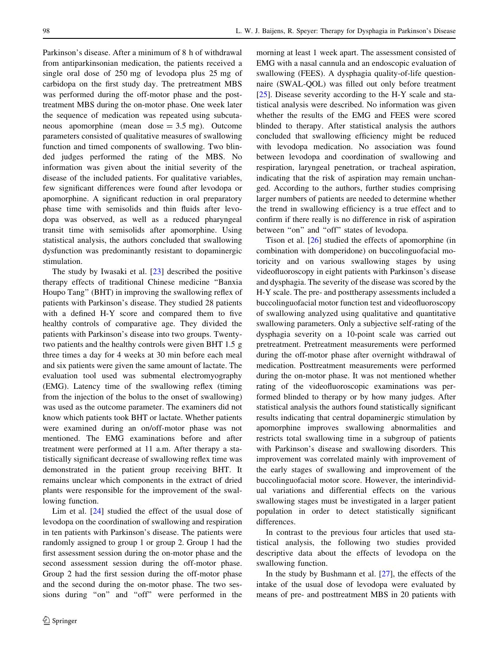Parkinson's disease. After a minimum of 8 h of withdrawal from antiparkinsonian medication, the patients received a single oral dose of 250 mg of levodopa plus 25 mg of carbidopa on the first study day. The pretreatment MBS was performed during the off-motor phase and the posttreatment MBS during the on-motor phase. One week later the sequence of medication was repeated using subcutaneous apomorphine (mean dose  $= 3.5$  mg). Outcome parameters consisted of qualitative measures of swallowing function and timed components of swallowing. Two blinded judges performed the rating of the MBS. No information was given about the initial severity of the disease of the included patients. For qualitative variables, few significant differences were found after levodopa or apomorphine. A significant reduction in oral preparatory phase time with semisolids and thin fluids after levodopa was observed, as well as a reduced pharyngeal transit time with semisolids after apomorphine. Using statistical analysis, the authors concluded that swallowing dysfunction was predominantly resistant to dopaminergic stimulation.

The study by Iwasaki et al. [[23\]](#page-10-0) described the positive therapy effects of traditional Chinese medicine ''Banxia Houpo Tang'' (BHT) in improving the swallowing reflex of patients with Parkinson's disease. They studied 28 patients with a defined H-Y score and compared them to five healthy controls of comparative age. They divided the patients with Parkinson's disease into two groups. Twentytwo patients and the healthy controls were given BHT 1.5 g three times a day for 4 weeks at 30 min before each meal and six patients were given the same amount of lactate. The evaluation tool used was submental electromyography (EMG). Latency time of the swallowing reflex (timing from the injection of the bolus to the onset of swallowing) was used as the outcome parameter. The examiners did not know which patients took BHT or lactate. Whether patients were examined during an on/off-motor phase was not mentioned. The EMG examinations before and after treatment were performed at 11 a.m. After therapy a statistically significant decrease of swallowing reflex time was demonstrated in the patient group receiving BHT. It remains unclear which components in the extract of dried plants were responsible for the improvement of the swallowing function.

Lim et al. [[24\]](#page-10-0) studied the effect of the usual dose of levodopa on the coordination of swallowing and respiration in ten patients with Parkinson's disease. The patients were randomly assigned to group 1 or group 2. Group 1 had the first assessment session during the on-motor phase and the second assessment session during the off-motor phase. Group 2 had the first session during the off-motor phase and the second during the on-motor phase. The two sessions during ''on'' and ''off'' were performed in the

morning at least 1 week apart. The assessment consisted of EMG with a nasal cannula and an endoscopic evaluation of swallowing (FEES). A dysphagia quality-of-life questionnaire (SWAL-QOL) was filled out only before treatment [\[25](#page-10-0)]. Disease severity according to the H-Y scale and statistical analysis were described. No information was given whether the results of the EMG and FEES were scored blinded to therapy. After statistical analysis the authors concluded that swallowing efficiency might be reduced with levodopa medication. No association was found between levodopa and coordination of swallowing and respiration, laryngeal penetration, or tracheal aspiration, indicating that the risk of aspiration may remain unchanged. According to the authors, further studies comprising larger numbers of patients are needed to determine whether the trend in swallowing efficiency is a true effect and to confirm if there really is no difference in risk of aspiration between "on" and "off" states of levodopa.

Tison et al. [[26\]](#page-10-0) studied the effects of apomorphine (in combination with domperidone) on buccolinguofacial motoricity and on various swallowing stages by using videofluoroscopy in eight patients with Parkinson's disease and dysphagia. The severity of the disease was scored by the H-Y scale. The pre- and posttherapy assessments included a buccolinguofacial motor function test and videofluoroscopy of swallowing analyzed using qualitative and quantitative swallowing parameters. Only a subjective self-rating of the dysphagia severity on a 10-point scale was carried out pretreatment. Pretreatment measurements were performed during the off-motor phase after overnight withdrawal of medication. Posttreatment measurements were performed during the on-motor phase. It was not mentioned whether rating of the videofluoroscopic examinations was performed blinded to therapy or by how many judges. After statistical analysis the authors found statistically significant results indicating that central dopaminergic stimulation by apomorphine improves swallowing abnormalities and restricts total swallowing time in a subgroup of patients with Parkinson's disease and swallowing disorders. This improvement was correlated mainly with improvement of the early stages of swallowing and improvement of the buccolinguofacial motor score. However, the interindividual variations and differential effects on the various swallowing stages must be investigated in a larger patient population in order to detect statistically significant differences.

In contrast to the previous four articles that used statistical analysis, the following two studies provided descriptive data about the effects of levodopa on the swallowing function.

In the study by Bushmann et al.  $[27]$  $[27]$ , the effects of the intake of the usual dose of levodopa were evaluated by means of pre- and posttreatment MBS in 20 patients with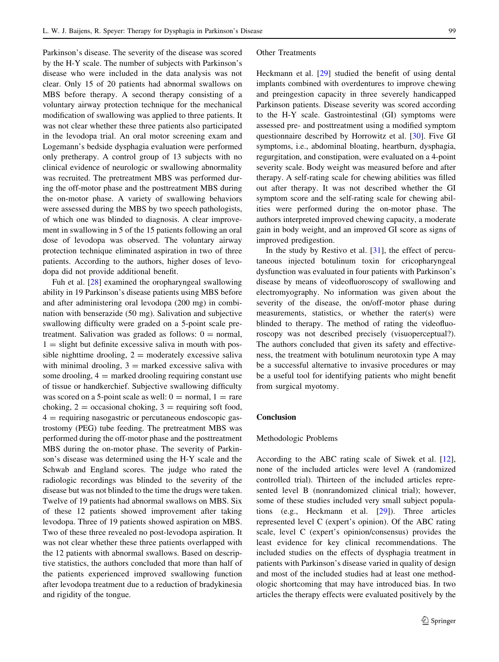Parkinson's disease. The severity of the disease was scored by the H-Y scale. The number of subjects with Parkinson's disease who were included in the data analysis was not clear. Only 15 of 20 patients had abnormal swallows on MBS before therapy. A second therapy consisting of a voluntary airway protection technique for the mechanical modification of swallowing was applied to three patients. It was not clear whether these three patients also participated in the levodopa trial. An oral motor screening exam and Logemann's bedside dysphagia evaluation were performed only pretherapy. A control group of 13 subjects with no clinical evidence of neurologic or swallowing abnormality was recruited. The pretreatment MBS was performed during the off-motor phase and the posttreatment MBS during the on-motor phase. A variety of swallowing behaviors were assessed during the MBS by two speech pathologists, of which one was blinded to diagnosis. A clear improvement in swallowing in 5 of the 15 patients following an oral dose of levodopa was observed. The voluntary airway protection technique eliminated aspiration in two of three patients. According to the authors, higher doses of levodopa did not provide additional benefit.

Fuh et al. [[28\]](#page-10-0) examined the oropharyngeal swallowing ability in 19 Parkinson's disease patients using MBS before and after administering oral levodopa (200 mg) in combination with benserazide (50 mg). Salivation and subjective swallowing difficulty were graded on a 5-point scale pretreatment. Salivation was graded as follows:  $0 =$  normal,  $1 =$  slight but definite excessive saliva in mouth with possible nighttime drooling,  $2 =$  moderately excessive saliva with minimal drooling,  $3 =$  marked excessive saliva with some drooling,  $4 =$  marked drooling requiring constant use of tissue or handkerchief. Subjective swallowing difficulty was scored on a 5-point scale as well:  $0 =$  normal,  $1 =$  rare choking,  $2 =$  occasional choking,  $3 =$  requiring soft food,  $4$  = requiring nasogastric or percutaneous endoscopic gastrostomy (PEG) tube feeding. The pretreatment MBS was performed during the off-motor phase and the posttreatment MBS during the on-motor phase. The severity of Parkinson's disease was determined using the H-Y scale and the Schwab and England scores. The judge who rated the radiologic recordings was blinded to the severity of the disease but was not blinded to the time the drugs were taken. Twelve of 19 patients had abnormal swallows on MBS. Six of these 12 patients showed improvement after taking levodopa. Three of 19 patients showed aspiration on MBS. Two of these three revealed no post-levodopa aspiration. It was not clear whether these three patients overlapped with the 12 patients with abnormal swallows. Based on descriptive statistics, the authors concluded that more than half of the patients experienced improved swallowing function after levodopa treatment due to a reduction of bradykinesia and rigidity of the tongue.

### Other Treatments

Heckmann et al. [[29\]](#page-11-0) studied the benefit of using dental implants combined with overdentures to improve chewing and preingestion capacity in three severely handicapped Parkinson patients. Disease severity was scored according to the H-Y scale. Gastrointestinal (GI) symptoms were assessed pre- and posttreatment using a modified symptom questionnaire described by Horrowitz et al. [\[30](#page-11-0)]. Five GI symptoms, i.e., abdominal bloating, heartburn, dysphagia, regurgitation, and constipation, were evaluated on a 4-point severity scale. Body weight was measured before and after therapy. A self-rating scale for chewing abilities was filled out after therapy. It was not described whether the GI symptom score and the self-rating scale for chewing abilities were performed during the on-motor phase. The authors interpreted improved chewing capacity, a moderate gain in body weight, and an improved GI score as signs of improved predigestion.

In the study by Restivo et al. [\[31](#page-11-0)], the effect of percutaneous injected botulinum toxin for cricopharyngeal dysfunction was evaluated in four patients with Parkinson's disease by means of videofluoroscopy of swallowing and electromyography. No information was given about the severity of the disease, the on/off-motor phase during measurements, statistics, or whether the rater(s) were blinded to therapy. The method of rating the videofluoroscopy was not described precisely (visuoperceptual?). The authors concluded that given its safety and effectiveness, the treatment with botulinum neurotoxin type A may be a successful alternative to invasive procedures or may be a useful tool for identifying patients who might benefit from surgical myotomy.

# Conclusion

#### Methodologic Problems

According to the ABC rating scale of Siwek et al. [\[12](#page-10-0)], none of the included articles were level A (randomized controlled trial). Thirteen of the included articles represented level B (nonrandomized clinical trial); however, some of these studies included very small subject populations (e.g., Heckmann et al. [[29\]](#page-11-0)). Three articles represented level C (expert's opinion). Of the ABC rating scale, level C (expert's opinion/consensus) provides the least evidence for key clinical recommendations. The included studies on the effects of dysphagia treatment in patients with Parkinson's disease varied in quality of design and most of the included studies had at least one methodologic shortcoming that may have introduced bias. In two articles the therapy effects were evaluated positively by the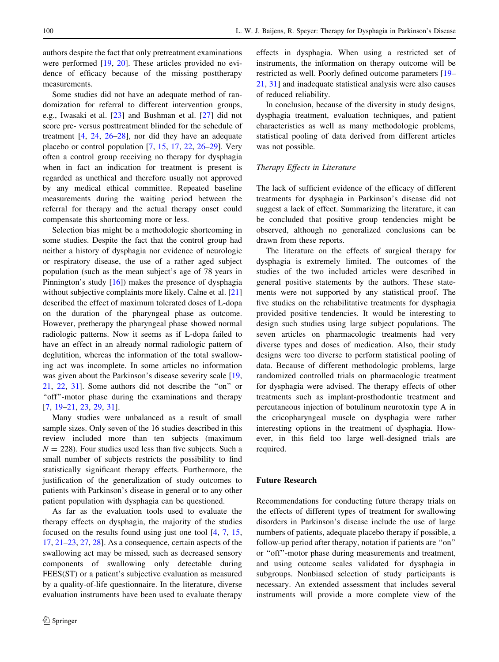authors despite the fact that only pretreatment examinations were performed [\[19](#page-10-0), [20\]](#page-10-0). These articles provided no evidence of efficacy because of the missing posttherapy measurements.

Some studies did not have an adequate method of randomization for referral to different intervention groups, e.g., Iwasaki et al. [\[23](#page-10-0)] and Bushman et al. [[27\]](#page-10-0) did not score pre- versus posttreatment blinded for the schedule of treatment  $[4, 24, 26-28]$  $[4, 24, 26-28]$  $[4, 24, 26-28]$  $[4, 24, 26-28]$  $[4, 24, 26-28]$ , nor did they have an adequate placebo or control population  $[7, 15, 17, 22, 26-29]$  $[7, 15, 17, 22, 26-29]$  $[7, 15, 17, 22, 26-29]$  $[7, 15, 17, 22, 26-29]$  $[7, 15, 17, 22, 26-29]$  $[7, 15, 17, 22, 26-29]$  $[7, 15, 17, 22, 26-29]$  $[7, 15, 17, 22, 26-29]$  $[7, 15, 17, 22, 26-29]$  $[7, 15, 17, 22, 26-29]$  $[7, 15, 17, 22, 26-29]$ . Very often a control group receiving no therapy for dysphagia when in fact an indication for treatment is present is regarded as unethical and therefore usually not approved by any medical ethical committee. Repeated baseline measurements during the waiting period between the referral for therapy and the actual therapy onset could compensate this shortcoming more or less.

Selection bias might be a methodologic shortcoming in some studies. Despite the fact that the control group had neither a history of dysphagia nor evidence of neurologic or respiratory disease, the use of a rather aged subject population (such as the mean subject's age of 78 years in Pinnington's study  $[16]$  $[16]$  makes the presence of dysphagia without subjective complaints more likely. Calne et al. [[21\]](#page-10-0) described the effect of maximum tolerated doses of L-dopa on the duration of the pharyngeal phase as outcome. However, pretherapy the pharyngeal phase showed normal radiologic patterns. Now it seems as if L-dopa failed to have an effect in an already normal radiologic pattern of deglutition, whereas the information of the total swallowing act was incomplete. In some articles no information was given about the Parkinson's disease severity scale [[19,](#page-10-0) [21,](#page-10-0) [22,](#page-10-0) [31\]](#page-11-0). Some authors did not describe the ''on'' or "off"-motor phase during the examinations and therapy [\[7](#page-10-0), [19–21](#page-10-0), [23,](#page-10-0) [29,](#page-11-0) [31](#page-11-0)].

Many studies were unbalanced as a result of small sample sizes. Only seven of the 16 studies described in this review included more than ten subjects (maximum  $N = 228$ ). Four studies used less than five subjects. Such a small number of subjects restricts the possibility to find statistically significant therapy effects. Furthermore, the justification of the generalization of study outcomes to patients with Parkinson's disease in general or to any other patient population with dysphagia can be questioned.

As far as the evaluation tools used to evaluate the therapy effects on dysphagia, the majority of the studies focused on the results found using just one tool [[4,](#page-10-0) [7,](#page-10-0) [15,](#page-10-0) [17](#page-10-0), [21–23,](#page-10-0) [27,](#page-10-0) [28\]](#page-10-0). As a consequence, certain aspects of the swallowing act may be missed, such as decreased sensory components of swallowing only detectable during FEES(ST) or a patient's subjective evaluation as measured by a quality-of-life questionnaire. In the literature, diverse evaluation instruments have been used to evaluate therapy effects in dysphagia. When using a restricted set of instruments, the information on therapy outcome will be restricted as well. Poorly defined outcome parameters [\[19](#page-10-0)– [21](#page-10-0), [31](#page-11-0)] and inadequate statistical analysis were also causes of reduced reliability.

In conclusion, because of the diversity in study designs, dysphagia treatment, evaluation techniques, and patient characteristics as well as many methodologic problems, statistical pooling of data derived from different articles was not possible.

# Therapy Effects in Literature

The lack of sufficient evidence of the efficacy of different treatments for dysphagia in Parkinson's disease did not suggest a lack of effect. Summarizing the literature, it can be concluded that positive group tendencies might be observed, although no generalized conclusions can be drawn from these reports.

The literature on the effects of surgical therapy for dysphagia is extremely limited. The outcomes of the studies of the two included articles were described in general positive statements by the authors. These statements were not supported by any statistical proof. The five studies on the rehabilitative treatments for dysphagia provided positive tendencies. It would be interesting to design such studies using large subject populations. The seven articles on pharmacologic treatments had very diverse types and doses of medication. Also, their study designs were too diverse to perform statistical pooling of data. Because of different methodologic problems, large randomized controlled trials on pharmacologic treatment for dysphagia were advised. The therapy effects of other treatments such as implant-prosthodontic treatment and percutaneous injection of botulinum neurotoxin type A in the cricopharyngeal muscle on dysphagia were rather interesting options in the treatment of dysphagia. However, in this field too large well-designed trials are required.

# Future Research

Recommendations for conducting future therapy trials on the effects of different types of treatment for swallowing disorders in Parkinson's disease include the use of large numbers of patients, adequate placebo therapy if possible, a follow-up period after therapy, notation if patients are ''on'' or ''off''-motor phase during measurements and treatment, and using outcome scales validated for dysphagia in subgroups. Nonbiased selection of study participants is necessary. An extended assessment that includes several instruments will provide a more complete view of the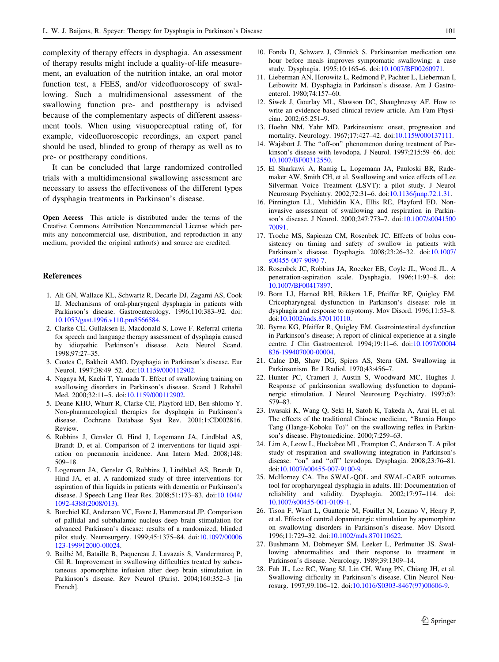<span id="page-10-0"></span>complexity of therapy effects in dysphagia. An assessment of therapy results might include a quality-of-life measurement, an evaluation of the nutrition intake, an oral motor function test, a FEES, and/or videofluoroscopy of swallowing. Such a multidimensional assessment of the swallowing function pre- and posttherapy is advised because of the complementary aspects of different assessment tools. When using visuoperceptual rating of, for example, videofluoroscopic recordings, an expert panel should be used, blinded to group of therapy as well as to pre- or posttherapy conditions.

It can be concluded that large randomized controlled trials with a multidimensional swallowing assessment are necessary to assess the effectiveness of the different types of dysphagia treatments in Parkinson's disease.

Open Access This article is distributed under the terms of the Creative Commons Attribution Noncommercial License which permits any noncommercial use, distribution, and reproduction in any medium, provided the original author(s) and source are credited.

#### References

- 1. Ali GN, Wallace KL, Schwartz R, Decarle DJ, Zagami AS, Cook IJ. Mechanisms of oral-pharyngeal dysphagia in patients with Parkinson's disease. Gastroenterology. 1996;110:383–92. doi: [10.1053/gast.1996.v110.pm8566584.](http://dx.doi.org/10.1053/gast.1996.v110.pm8566584)
- 2. Clarke CE, Gullaksen E, Macdonald S, Lowe F. Referral criteria for speech and language therapy assessment of dysphagia caused by idiopathic Parkinson's disease. Acta Neurol Scand. 1998;97:27–35.
- 3. Coates C, Bakheit AMO. Dysphagia in Parkinson's disease. Eur Neurol. 1997;38:49–52. doi:[10.1159/000112902.](http://dx.doi.org/10.1159/000112902)
- 4. Nagaya M, Kachi T, Yamada T. Effect of swallowing training on swallowing disorders in Parkinson's disease. Scand J Rehabil Med. 2000;32:11–5. doi[:10.1159/000112902](http://dx.doi.org/10.1159/000112902).
- 5. Deane KHO, Whurr R, Clarke CE, Playford ED, Ben-shlomo Y. Non-pharmacological therapies for dysphagia in Parkinson's disease. Cochrane Database Syst Rev. 2001;1:CD002816. Review.
- 6. Robbins J, Gensler G, Hind J, Logemann JA, Lindblad AS, Brandt D, et al. Comparison of 2 interventions for liquid aspiration on pneumonia incidence. Ann Intern Med. 2008;148: 509–18.
- 7. Logemann JA, Gensler G, Robbins J, Lindblad AS, Brandt D, Hind JA, et al. A randomized study of three interventions for aspiration of thin liquids in patients with dementia or Parkinson's disease. J Speech Lang Hear Res. 2008;51:173–83. doi[:10.1044/](http://dx.doi.org/10.1044/1092-4388(2008/013)) [1092-4388\(2008/013\).](http://dx.doi.org/10.1044/1092-4388(2008/013))
- 8. Burchiel KJ, Anderson VC, Favre J, Hammerstad JP. Comparison of pallidal and subthalamic nucleus deep brain stimulation for advanced Parkinson's disease: results of a randomized, blinded pilot study. Neurosurgery. 1999;45:1375–84. doi[:10.1097/00006](http://dx.doi.org/10.1097/00006123-199912000-00024) [123-199912000-00024](http://dx.doi.org/10.1097/00006123-199912000-00024).
- 9. Bailbé M, Bataille B, Paquereau J, Lavazais S, Vandermarcq P, Gil R. Improvement in swallowing difficulties treated by subcutaneous apomorphine infusion after deep brain stimulation in Parkinson's disease. Rev Neurol (Paris). 2004;160:352–3 [in French].
- 10. Fonda D, Schwarz J, Clinnick S. Parkinsonian medication one hour before meals improves symptomatic swallowing: a case study. Dysphagia. 1995;10:165–6. doi:[10.1007/BF00260971.](http://dx.doi.org/10.1007/BF00260971)
- 11. Lieberman AN, Horowitz L, Redmond P, Pachter L, Lieberman I, Leibowitz M. Dysphagia in Parkinson's disease. Am J Gastroenterol. 1980;74:157–60.
- 12. Siwek J, Gourlay ML, Slawson DC, Shaughnessy AF. How to write an evidence-based clinical review article. Am Fam Physician. 2002;65:251–9.
- 13. Hoehn NM, Yahr MD. Parkinsonism: onset, progression and mortality. Neurology. 1967;17:427–42. doi:[10.1159/000137111.](http://dx.doi.org/10.1159/000137111)
- 14. Wajsbort J. The ''off-on'' phenomenon during treatment of Parkinson's disease with levodopa. J Neurol. 1997;215:59–66. doi: [10.1007/BF00312550.](http://dx.doi.org/10.1007/BF00312550)
- 15. El Sharkawi A, Ramig L, Logemann JA, Pauloski BR, Rademaker AW, Smith CH, et al. Swallowing and voice effects of Lee Silverman Voice Treatment (LSVT): a pilot study. J Neurol Neurosurg Psychiatry. 2002;72:31–6. doi[:10.1136/jnnp.72.1.31.](http://dx.doi.org/10.1136/jnnp.72.1.31)
- 16. Pinnington LL, Muhiddin KA, Ellis RE, Playford ED. Noninvasive assessment of swallowing and respiration in Parkinson's disease. J Neurol. 2000;247:773–7. doi[:10.1007/s0041500](http://dx.doi.org/10.1007/s004150070091) [70091.](http://dx.doi.org/10.1007/s004150070091)
- 17. Troche MS, Sapienza CM, Rosenbek JC. Effects of bolus consistency on timing and safety of swallow in patients with Parkinson's disease. Dysphagia. 2008;23:26–32. doi[:10.1007/](http://dx.doi.org/10.1007/s00455-007-9090-7) [s00455-007-9090-7](http://dx.doi.org/10.1007/s00455-007-9090-7).
- 18. Rosenbek JC, Robbins JA, Roecker EB, Coyle JL, Wood JL. A penetration-aspiration scale. Dysphagia. 1996;11:93–8. doi: [10.1007/BF00417897.](http://dx.doi.org/10.1007/BF00417897)
- 19. Born LJ, Harned RH, Rikkers LF, Pfeiffer RF, Quigley EM. Cricopharyngeal dysfunction in Parkinson's disease: role in dysphagia and response to myotomy. Mov Disord. 1996;11:53–8. doi:[10.1002/mds.870110110](http://dx.doi.org/10.1002/mds.870110110).
- 20. Byrne KG, Pfeiffer R, Quigley EM. Gastrointestinal dysfunction in Parkinson's disease; A report of clinical experience at a single centre. J Clin Gastroenterol. 1994;19:11–6. doi[:10.1097/00004](http://dx.doi.org/10.1097/00004836-199407000-00004) [836-199407000-00004](http://dx.doi.org/10.1097/00004836-199407000-00004).
- 21. Calne DB, Shaw DG, Spiers AS, Stern GM. Swallowing in Parkinsonism. Br J Radiol. 1970;43:456–7.
- 22. Hunter PC, Crameri J, Austin S, Woodward MC, Hughes J. Response of parkinsonian swallowing dysfunction to dopaminergic stimulation. J Neurol Neurosurg Psychiatry. 1997;63: 579–83.
- 23. Iwasaki K, Wang Q, Seki H, Satoh K, Takeda A, Arai H, et al. The effects of the traditional Chinese medicine, ''Banxia Houpo Tang (Hange-Koboku To)'' on the swallowing reflex in Parkinson's disease. Phytomedicine. 2000;7:259–63.
- 24. Lim A, Leow L, Huckabee ML, Frampton C, Anderson T. A pilot study of respiration and swallowing integration in Parkinson's disease: ''on'' and ''off'' levodopa. Dysphagia. 2008;23:76–81. doi:[10.1007/s00455-007-9100-9.](http://dx.doi.org/10.1007/s00455-007-9100-9)
- 25. McHorney CA. The SWAL-QOL and SWAL-CARE outcomes tool for oropharyngeal dysphagia in adults. III: Documentation of reliability and validity. Dysphagia. 2002;17:97–114. doi: [10.1007/s00455-001-0109-1](http://dx.doi.org/10.1007/s00455-001-0109-1).
- 26. Tison F, Wiart L, Guatterie M, Fouillet N, Lozano V, Henry P, et al. Effects of central dopaminergic stimulation by apomorphine on swallowing disorders in Parkinson's disease. Mov Disord. 1996;11:729–32. doi[:10.1002/mds.870110622.](http://dx.doi.org/10.1002/mds.870110622)
- 27. Bushmann M, Dobmeyer SM, Leeker L, Perlmutter JS. Swallowing abnormalities and their response to treatment in Parkinson's disease. Neurology. 1989;39:1309–14.
- 28. Fuh JL, Lee RC, Wang SJ, Lin CH, Wang PN, Chiang JH, et al. Swallowing difficulty in Parkinson's disease. Clin Neurol Neurosurg. 1997;99:106–12. doi[:10.1016/S0303-8467\(97\)00606-9.](http://dx.doi.org/10.1016/S0303-8467(97)00606-9)